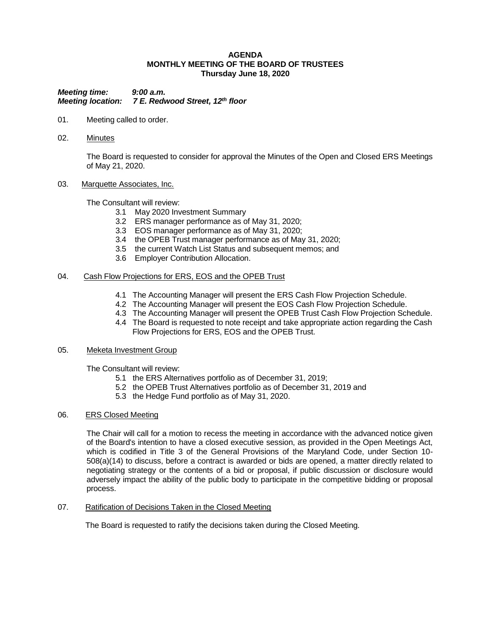### **AGENDA MONTHLY MEETING OF THE BOARD OF TRUSTEES Thursday June 18, 2020**

*Meeting time: 9:00 a.m. Meeting location: 7 E. Redwood Street, 12th floor*

- 01. Meeting called to order.
- 02. Minutes

The Board is requested to consider for approval the Minutes of the Open and Closed ERS Meetings of May 21, 2020.

### 03. Marquette Associates, Inc.

The Consultant will review:

- 3.1 May 2020 Investment Summary
- 3.2 ERS manager performance as of May 31, 2020;
- 3.3 EOS manager performance as of May 31, 2020;
- 3.4 the OPEB Trust manager performance as of May 31, 2020;
- 3.5 the current Watch List Status and subsequent memos; and
- 3.6 Employer Contribution Allocation.

### 04. Cash Flow Projections for ERS, EOS and the OPEB Trust

- 4.1 The Accounting Manager will present the ERS Cash Flow Projection Schedule.
- 4.2 The Accounting Manager will present the EOS Cash Flow Projection Schedule.
- 4.3 The Accounting Manager will present the OPEB Trust Cash Flow Projection Schedule.
- 4.4 The Board is requested to note receipt and take appropriate action regarding the Cash Flow Projections for ERS, EOS and the OPEB Trust.

#### 05. Meketa Investment Group

The Consultant will review:

- 5.1 the ERS Alternatives portfolio as of December 31, 2019;
- 5.2 the OPEB Trust Alternatives portfolio as of December 31, 2019 and
- 5.3 the Hedge Fund portfolio as of May 31, 2020.

# 06. ERS Closed Meeting

The Chair will call for a motion to recess the meeting in accordance with the advanced notice given of the Board's intention to have a closed executive session, as provided in the Open Meetings Act, which is codified in Title 3 of the General Provisions of the Maryland Code, under Section 10- 508(a)(14) to discuss, before a contract is awarded or bids are opened, a matter directly related to negotiating strategy or the contents of a bid or proposal, if public discussion or disclosure would adversely impact the ability of the public body to participate in the competitive bidding or proposal process.

# 07. Ratification of Decisions Taken in the Closed Meeting

The Board is requested to ratify the decisions taken during the Closed Meeting.